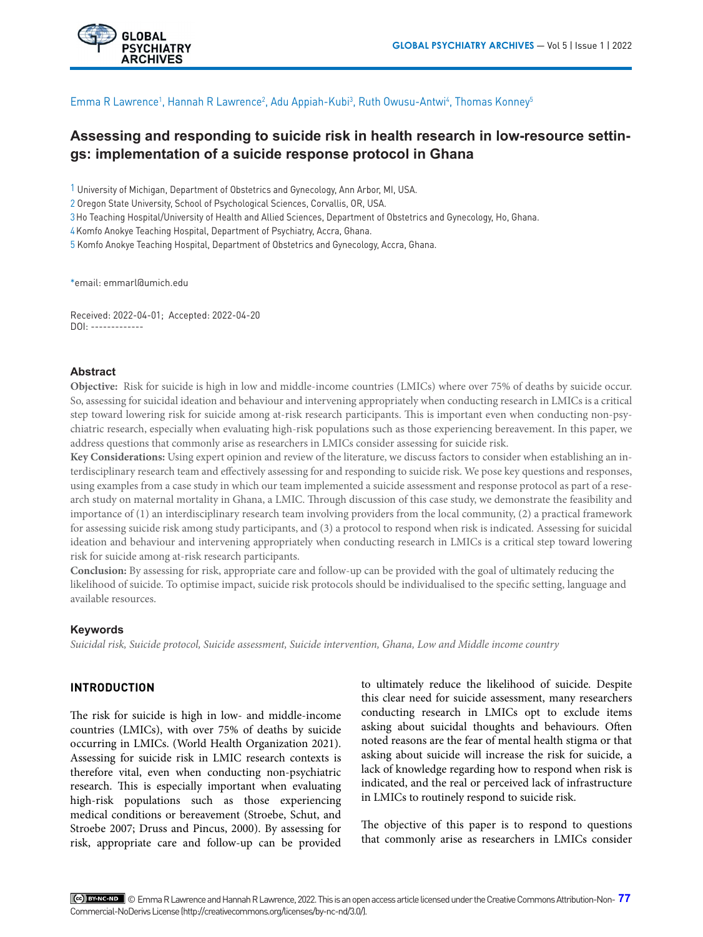

Emma R Lawrence<sup>1</sup>, Hannah R Lawrence<sup>2</sup>, Adu Appiah-Kubi<sup>3</sup>, Ruth Owusu-Antwi<sup>4</sup>, Thomas Konney<sup>5</sup>

# **Assessing and responding to suicide risk in health research in low-resource settings: implementation of a suicide response protocol in Ghana**

1 University of Michigan, Department of Obstetrics and Gynecology, Ann Arbor, MI, USA.

2 Oregon State University, School of Psychological Sciences, Corvallis, OR, USA.

3Ho Teaching Hospital/University of Health and Allied Sciences, Department of Obstetrics and Gynecology, Ho, Ghana.

4Komfo Anokye Teaching Hospital, Department of Psychiatry, Accra, Ghana.

5 Komfo Anokye Teaching Hospital, Department of Obstetrics and Gynecology, Accra, Ghana.

\*email: emmarl@umich.edu

Received: 2022-04-01; Accepted: 2022-04-20 DOI: -------------

## **Abstract**

**Objective:** Risk for suicide is high in low and middle-income countries (LMICs) where over 75% of deaths by suicide occur. So, assessing for suicidal ideation and behaviour and intervening appropriately when conducting research in LMICs is a critical step toward lowering risk for suicide among at-risk research participants. This is important even when conducting non-psychiatric research, especially when evaluating high-risk populations such as those experiencing bereavement. In this paper, we address questions that commonly arise as researchers in LMICs consider assessing for suicide risk.

**Key Considerations:** Using expert opinion and review of the literature, we discuss factors to consider when establishing an interdisciplinary research team and effectively assessing for and responding to suicide risk. We pose key questions and responses, using examples from a case study in which our team implemented a suicide assessment and response protocol as part of a research study on maternal mortality in Ghana, a LMIC. Through discussion of this case study, we demonstrate the feasibility and importance of (1) an interdisciplinary research team involving providers from the local community, (2) a practical framework for assessing suicide risk among study participants, and (3) a protocol to respond when risk is indicated. Assessing for suicidal ideation and behaviour and intervening appropriately when conducting research in LMICs is a critical step toward lowering risk for suicide among at-risk research participants.

**Conclusion:** By assessing for risk, appropriate care and follow-up can be provided with the goal of ultimately reducing the likelihood of suicide. To optimise impact, suicide risk protocols should be individualised to the specific setting, language and available resources.

#### **Keywords**

*Suicidal risk, Suicide protocol, Suicide assessment, Suicide intervention, Ghana, Low and Middle income country*

## **INTRODUCTION**

The risk for suicide is high in low- and middle-income countries (LMICs), with over 75% of deaths by suicide occurring in LMICs. (World Health Organization 2021). Assessing for suicide risk in LMIC research contexts is therefore vital, even when conducting non-psychiatric research. This is especially important when evaluating high-risk populations such as those experiencing medical conditions or bereavement (Stroebe, Schut, and Stroebe 2007; Druss and Pincus, 2000). By assessing for risk, appropriate care and follow-up can be provided to ultimately reduce the likelihood of suicide. Despite this clear need for suicide assessment, many researchers conducting research in LMICs opt to exclude items asking about suicidal thoughts and behaviours. Often noted reasons are the fear of mental health stigma or that asking about suicide will increase the risk for suicide, a lack of knowledge regarding how to respond when risk is indicated, and the real or perceived lack of infrastructure in LMICs to routinely respond to suicide risk.

The objective of this paper is to respond to questions that commonly arise as researchers in LMICs consider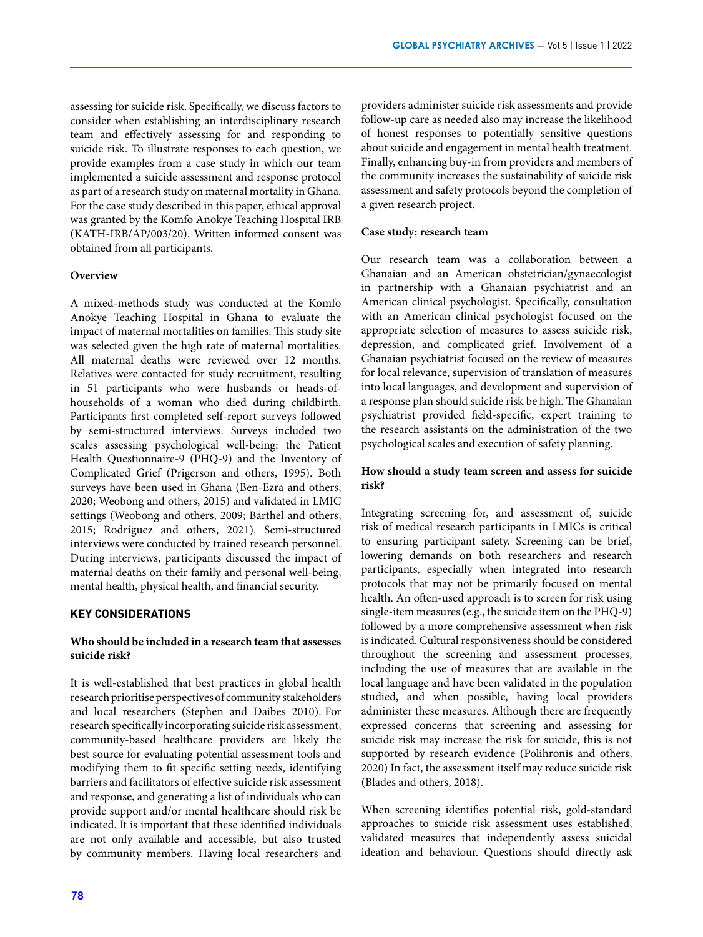assessing for suicide risk. Specifically, we discuss factors to consider when establishing an interdisciplinary research team and effectively assessing for and responding to suicide risk. To illustrate responses to each question, we provide examples from a case study in which our team implemented a suicide assessment and response protocol as part of a research study on maternal mortality in Ghana. For the case study described in this paper, ethical approval was granted by the Komfo Anokye Teaching Hospital IRB (KATH-IRB/AP/003/20). Written informed consent was obtained from all participants.

#### **Overview**

A mixed-methods study was conducted at the Komfo Anokye Teaching Hospital in Ghana to evaluate the impact of maternal mortalities on families. This study site was selected given the high rate of maternal mortalities. All maternal deaths were reviewed over 12 months. Relatives were contacted for study recruitment, resulting in 51 participants who were husbands or heads-ofhouseholds of a woman who died during childbirth. Participants first completed self-report surveys followed by semi-structured interviews. Surveys included two scales assessing psychological well-being: the Patient Health Questionnaire-9 (PHQ-9) and the Inventory of Complicated Grief (Prigerson and others, 1995). Both surveys have been used in Ghana (Ben-Ezra and others, 2020; Weobong and others, 2015) and validated in LMIC settings (Weobong and others, 2009; Barthel and others, 2015; Rodríguez and others, 2021). Semi-structured interviews were conducted by trained research personnel. During interviews, participants discussed the impact of maternal deaths on their family and personal well-being, mental health, physical health, and financial security.

## **KEY CONSIDERATIONS**

## **Who should be included in a research team that assesses suicide risk?**

It is well-established that best practices in global health research prioritise perspectives of community stakeholders and local researchers [\(Stephen and Daibes 2010\)](https://paperpile.com/c/p7r50D/rpA8s). For research specifically incorporating suicide risk assessment, community-based healthcare providers are likely the best source for evaluating potential assessment tools and modifying them to fit specific setting needs, identifying barriers and facilitators of effective suicide risk assessment and response, and generating a list of individuals who can provide support and/or mental healthcare should risk be indicated. It is important that these identified individuals are not only available and accessible, but also trusted by community members. Having local researchers and

providers administer suicide risk assessments and provide follow-up care as needed also may increase the likelihood of honest responses to potentially sensitive questions about suicide and engagement in mental health treatment. Finally, enhancing buy-in from providers and members of the community increases the sustainability of suicide risk assessment and safety protocols beyond the completion of a given research project.

#### **Case study: research team**

Our research team was a collaboration between a Ghanaian and an American obstetrician/gynaecologist in partnership with a Ghanaian psychiatrist and an American clinical psychologist. Specifically, consultation with an American clinical psychologist focused on the appropriate selection of measures to assess suicide risk, depression, and complicated grief. Involvement of a Ghanaian psychiatrist focused on the review of measures for local relevance, supervision of translation of measures into local languages, and development and supervision of a response plan should suicide risk be high. The Ghanaian psychiatrist provided field-specific, expert training to the research assistants on the administration of the two psychological scales and execution of safety planning.

## **How should a study team screen and assess for suicide risk?**

Integrating screening for, and assessment of, suicide risk of medical research participants in LMICs is critical to ensuring participant safety. Screening can be brief, lowering demands on both researchers and research participants, especially when integrated into research protocols that may not be primarily focused on mental health. An often-used approach is to screen for risk using single-item measures (e.g., the suicide item on the PHQ-9) followed by a more comprehensive assessment when risk is indicated. Cultural responsiveness should be considered throughout the screening and assessment processes, including the use of measures that are available in the local language and have been validated in the population studied, and when possible, having local providers administer these measures. Although there are frequently expressed concerns that screening and assessing for suicide risk may increase the risk for suicide, this is not supported by research evidence [\(Polihronis and others,](https://paperpile.com/c/p7r50D/5Pyu8)  [2020\)](https://paperpile.com/c/p7r50D/5Pyu8) In fact, the assessment itself may reduce suicide risk [\(Blades and others, 2018\)](https://paperpile.com/c/p7r50D/JOTXu).

When screening identifies potential risk, gold-standard approaches to suicide risk assessment uses established, validated measures that independently assess suicidal ideation and behaviour. Questions should directly ask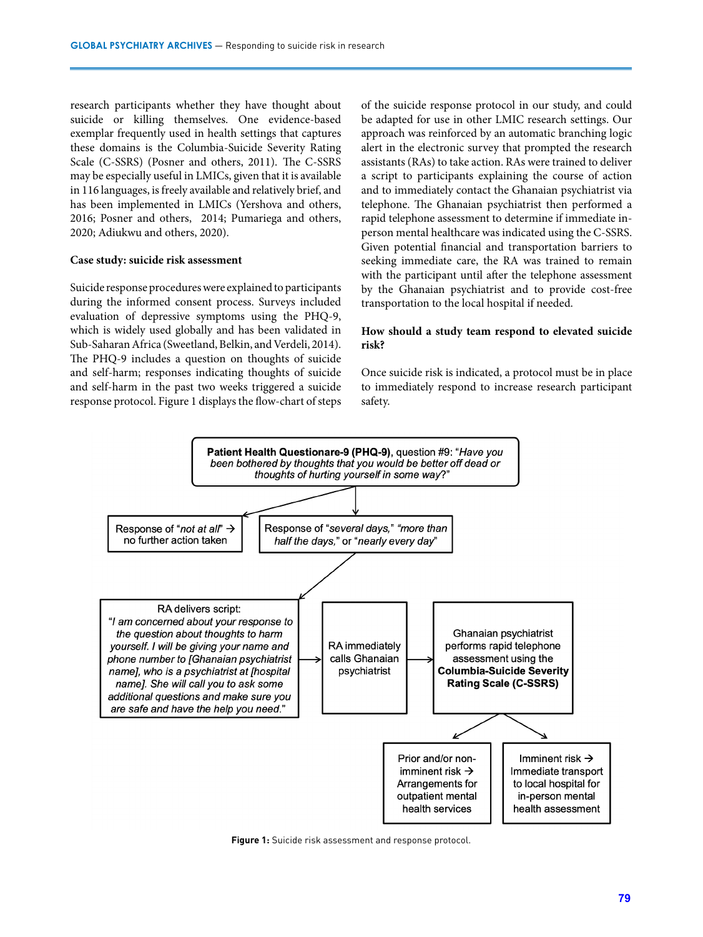research participants whether they have thought about suicide or killing themselves. One evidence-based exemplar frequently used in health settings that captures these domains is the Columbia-Suicide Severity Rating Scale (C-SSRS) [\(Posner and others, 2011\).](https://paperpile.com/c/p7r50D/smcS9) The C-SSRS may be especially useful in LMICs, given that it is available in 116 languages, is freely available and relatively brief, and has been implemented in LMICs [\(Yershova and others,](https://paperpile.com/c/p7r50D/2LEc+bjmM+rYo0+16QJ) [2016; Posner and others, 2014; Pumariega and others,](https://paperpile.com/c/p7r50D/2LEc+bjmM+rYo0+16QJ) [2020; Adiukwu and others, 2020\).](https://paperpile.com/c/p7r50D/2LEc+bjmM+rYo0+16QJ)

#### **Case study: suicide risk assessment**

Suicide response procedures were explained to participants during the informed consent process. Surveys included evaluation of depressive symptoms using the PHQ-9, which is widely used globally and has been validated in Sub-Saharan Africa [\(Sweetland, Belkin, and Verdeli, 2014\).](https://paperpile.com/c/p7r50D/P8WEd) The PHQ-9 includes a question on thoughts of suicide and self-harm; responses indicating thoughts of suicide and self-harm in the past two weeks triggered a suicide response protocol. Figure 1 displays the flow-chart of steps

of the suicide response protocol in our study, and could be adapted for use in other LMIC research settings. Our approach was reinforced by an automatic branching logic alert in the electronic survey that prompted the research assistants (RAs) to take action. RAs were trained to deliver a script to participants explaining the course of action and to immediately contact the Ghanaian psychiatrist via telephone. The Ghanaian psychiatrist then performed a rapid telephone assessment to determine if immediate inperson mental healthcare was indicated using the C-SSRS. Given potential financial and transportation barriers to seeking immediate care, the RA was trained to remain with the participant until after the telephone assessment by the Ghanaian psychiatrist and to provide cost-free transportation to the local hospital if needed.

## **How should a study team respond to elevated suicide risk?**

Once suicide risk is indicated, a protocol must be in place to immediately respond to increase research participant safety.



**Figure 1:** Suicide risk assessment and response protocol.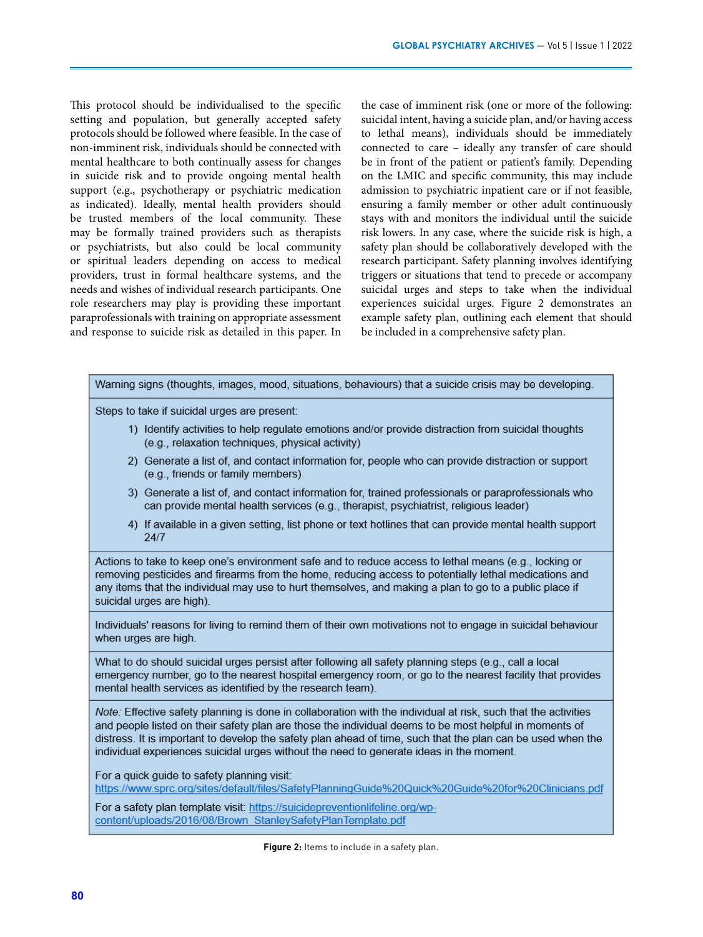This protocol should be individualised to the specific setting and population, but generally accepted safety protocols should be followed where feasible. In the case of non-imminent risk, individuals should be connected with mental healthcare to both continually assess for changes in suicide risk and to provide ongoing mental health support (e.g., psychotherapy or psychiatric medication as indicated). Ideally, mental health providers should be trusted members of the local community. These may be formally trained providers such as therapists or psychiatrists, but also could be local community or spiritual leaders depending on access to medical providers, trust in formal healthcare systems, and the needs and wishes of individual research participants. One role researchers may play is providing these important paraprofessionals with training on appropriate assessment and response to suicide risk as detailed in this paper. In the case of imminent risk (one or more of the following: suicidal intent, having a suicide plan, and/or having access to lethal means), individuals should be immediately connected to care – ideally any transfer of care should be in front of the patient or patient's family. Depending on the LMIC and specific community, this may include admission to psychiatric inpatient care or if not feasible, ensuring a family member or other adult continuously stays with and monitors the individual until the suicide risk lowers. In any case, where the suicide risk is high, a safety plan should be collaboratively developed with the research participant. Safety planning involves identifying triggers or situations that tend to precede or accompany suicidal urges and steps to take when the individual experiences suicidal urges. Figure 2 demonstrates an example safety plan, outlining each element that should be included in a comprehensive safety plan.

| Warning signs (thoughts, images, mood, situations, behaviours) that a suicide crisis may be developing. |  |  |  |  |  |
|---------------------------------------------------------------------------------------------------------|--|--|--|--|--|
|---------------------------------------------------------------------------------------------------------|--|--|--|--|--|

Steps to take if suicidal urges are present:

- 1) Identify activities to help regulate emotions and/or provide distraction from suicidal thoughts (e.g., relaxation techniques, physical activity)
- 2) Generate a list of, and contact information for, people who can provide distraction or support (e.g., friends or family members)
- 3) Generate a list of, and contact information for, trained professionals or paraprofessionals who can provide mental health services (e.g., therapist, psychiatrist, religious leader)
- 4) If available in a given setting, list phone or text hotlines that can provide mental health support 24/7

Actions to take to keep one's environment safe and to reduce access to lethal means (e.g., locking or removing pesticides and firearms from the home, reducing access to potentially lethal medications and any items that the individual may use to hurt themselves, and making a plan to go to a public place if suicidal urges are high).

Individuals' reasons for living to remind them of their own motivations not to engage in suicidal behaviour when urges are high.

What to do should suicidal urges persist after following all safety planning steps (e.g., call a local emergency number, go to the nearest hospital emergency room, or go to the nearest facility that provides mental health services as identified by the research team).

Note: Effective safety planning is done in collaboration with the individual at risk, such that the activities and people listed on their safety plan are those the individual deems to be most helpful in moments of distress. It is important to develop the safety plan ahead of time, such that the plan can be used when the individual experiences suicidal urges without the need to generate ideas in the moment.

For a quick guide to safety planning visit: https://www.sprc.org/sites/default/files/SafetyPlanningGuide%20Quick%20Guide%20for%20Clinicians.pdf

For a safety plan template visit: https://suicidepreventionlifeline.org/wpcontent/uploads/2016/08/Brown StanleySafetyPlanTemplate.pdf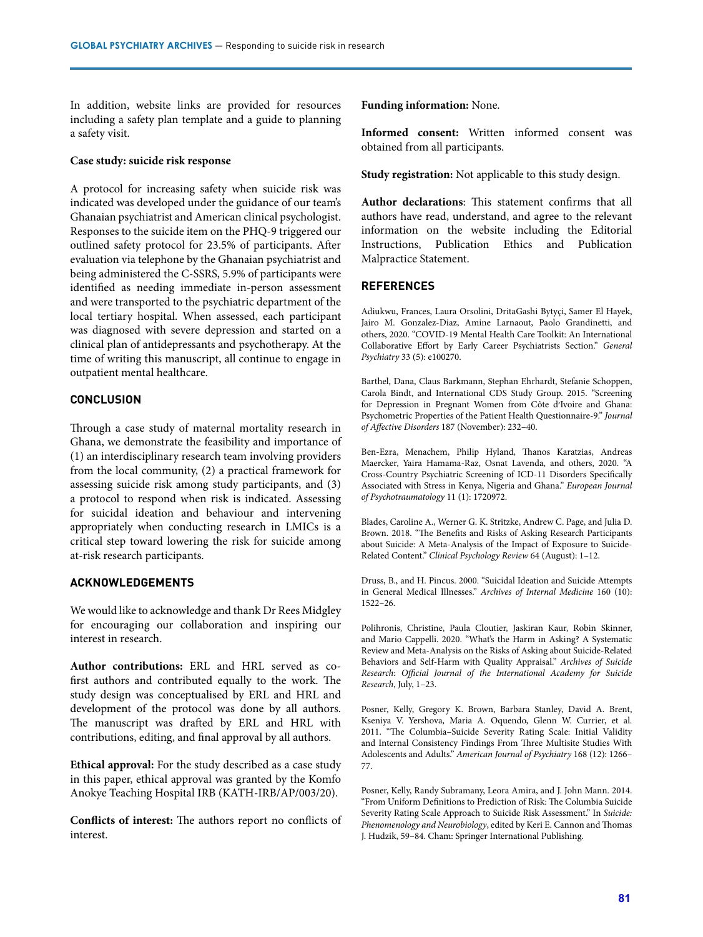In addition, website links are provided for resources including a safety plan template and a guide to planning a safety visit.

#### **Case study: suicide risk response**

A protocol for increasing safety when suicide risk was indicated was developed under the guidance of our team's Ghanaian psychiatrist and American clinical psychologist. Responses to the suicide item on the PHQ-9 triggered our outlined safety protocol for 23.5% of participants. After evaluation via telephone by the Ghanaian psychiatrist and being administered the C-SSRS, 5.9% of participants were identified as needing immediate in-person assessment and were transported to the psychiatric department of the local tertiary hospital. When assessed, each participant was diagnosed with severe depression and started on a clinical plan of antidepressants and psychotherapy. At the time of writing this manuscript, all continue to engage in outpatient mental healthcare.

#### **CONCLUSION**

Through a case study of maternal mortality research in Ghana, we demonstrate the feasibility and importance of (1) an interdisciplinary research team involving providers from the local community, (2) a practical framework for assessing suicide risk among study participants, and (3) a protocol to respond when risk is indicated. Assessing for suicidal ideation and behaviour and intervening appropriately when conducting research in LMICs is a critical step toward lowering the risk for suicide among at-risk research participants.

### **ACKNOWLEDGEMENTS**

We would like to acknowledge and thank Dr Rees Midgley for encouraging our collaboration and inspiring our interest in research.

**Author contributions:** ERL and HRL served as cofirst authors and contributed equally to the work. The study design was conceptualised by ERL and HRL and development of the protocol was done by all authors. The manuscript was drafted by ERL and HRL with contributions, editing, and final approval by all authors.

**Ethical approval:** For the study described as a case study in this paper, ethical approval was granted by the Komfo Anokye Teaching Hospital IRB (KATH-IRB/AP/003/20).

**Conflicts of interest:** The authors report no conflicts of interest.

**Funding information:** None.

**Informed consent:** Written informed consent was obtained from all participants.

**Study registration:** Not applicable to this study design.

**Author declarations**: This statement confirms that all authors have read, understand, and agree to the relevant information on the website including the Editorial Instructions, Publication Ethics and Publication Malpractice Statement.

### **REFERENCES**

[Adiukwu, Frances, Laura Orsolini, DritaGashi Bytyçi, Samer El Hayek,](http://paperpile.com/b/p7r50D/16QJ)  [Jairo M. Gonzalez-Diaz, Amine Larnaout, Paolo Grandinetti, and](http://paperpile.com/b/p7r50D/16QJ)  [others, 2020. "COVID-19 Mental Health Care Toolkit: An International](http://paperpile.com/b/p7r50D/16QJ)  [Collaborative Effort by Early Career Psychiatrists Section."](http://paperpile.com/b/p7r50D/16QJ) *[General](http://paperpile.com/b/p7r50D/16QJ)  [Psychiatry](http://paperpile.com/b/p7r50D/16QJ)* [33 \(5\): e100270.](http://paperpile.com/b/p7r50D/16QJ)

[Barthel, Dana, Claus Barkmann, Stephan Ehrhardt, Stefanie Schoppen,](http://paperpile.com/b/p7r50D/KSxN)  [Carola Bindt, and International CDS Study Group. 2015. "Screening](http://paperpile.com/b/p7r50D/KSxN)  [for Depression in Pregnant Women from Côte d](http://paperpile.com/b/p7r50D/KSxN)[׳](http://paperpile.com/b/p7r50D/KSxN)[Ivoire and Ghana:](http://paperpile.com/b/p7r50D/KSxN)  [Psychometric Properties of the Patient Health Questionnaire-9."](http://paperpile.com/b/p7r50D/KSxN) *[Journal](http://paperpile.com/b/p7r50D/KSxN)  [of Affective Disorders](http://paperpile.com/b/p7r50D/KSxN)* [187 \(November\): 232–40.](http://paperpile.com/b/p7r50D/KSxN)

[Ben-Ezra, Menachem, Philip Hyland, Thanos Karatzias, Andreas](http://paperpile.com/b/p7r50D/M2Pm)  [Maercker, Yaira Hamama-Raz, Osnat Lavenda, and others, 2020. "A](http://paperpile.com/b/p7r50D/M2Pm)  [Cross-Country Psychiatric Screening of ICD-11 Disorders Specifically](http://paperpile.com/b/p7r50D/M2Pm)  [Associated with Stress in Kenya, Nigeria and Ghana."](http://paperpile.com/b/p7r50D/M2Pm) *[European Journal](http://paperpile.com/b/p7r50D/M2Pm)  [of Psychotraumatology](http://paperpile.com/b/p7r50D/M2Pm)* [11 \(1\): 1720972.](http://paperpile.com/b/p7r50D/M2Pm)

[Blades, Caroline A., Werner G. K. Stritzke, Andrew C. Page, and Julia D.](http://paperpile.com/b/p7r50D/JOTXu)  [Brown. 2018. "The Benefits and Risks of Asking Research Participants](http://paperpile.com/b/p7r50D/JOTXu)  [about Suicide: A Meta-Analysis of the Impact of Exposure to Suicide-](http://paperpile.com/b/p7r50D/JOTXu)[Related Content."](http://paperpile.com/b/p7r50D/JOTXu) *[Clinical Psychology Review](http://paperpile.com/b/p7r50D/JOTXu)* [64 \(August\): 1–12.](http://paperpile.com/b/p7r50D/JOTXu)

[Druss, B., and H. Pincus. 2000. "Suicidal Ideation and Suicide Attempts](http://paperpile.com/b/p7r50D/ksRIk)  [in General Medical Illnesses."](http://paperpile.com/b/p7r50D/ksRIk) *[Archives of Internal Medicine](http://paperpile.com/b/p7r50D/ksRIk)* [160 \(10\):](http://paperpile.com/b/p7r50D/ksRIk)  [1522–26.](http://paperpile.com/b/p7r50D/ksRIk)

[Polihronis, Christine, Paula Cloutier, Jaskiran Kaur, Robin Skinner,](http://paperpile.com/b/p7r50D/5Pyu8)  [and Mario Cappelli. 2020. "What's the Harm in Asking? A Systematic](http://paperpile.com/b/p7r50D/5Pyu8)  [Review and Meta-Analysis on the Risks of Asking about Suicide-Related](http://paperpile.com/b/p7r50D/5Pyu8)  [Behaviors and Self-Harm with Quality Appraisal."](http://paperpile.com/b/p7r50D/5Pyu8) *[Archives of Suicide](http://paperpile.com/b/p7r50D/5Pyu8)  [Research: Official Journal of the International Academy for Suicide](http://paperpile.com/b/p7r50D/5Pyu8)  [Research](http://paperpile.com/b/p7r50D/5Pyu8)*[, July, 1–23.](http://paperpile.com/b/p7r50D/5Pyu8)

[Posner, Kelly, Gregory K. Brown, Barbara Stanley, David A. Brent,](http://paperpile.com/b/p7r50D/smcS9)  [Kseniya V. Yershova, Maria A. Oquendo, Glenn W. Currier, et al.](http://paperpile.com/b/p7r50D/smcS9)  [2011. "The Columbia–Suicide Severity Rating Scale: Initial Validity](http://paperpile.com/b/p7r50D/smcS9)  [and Internal Consistency Findings From Three Multisite Studies With](http://paperpile.com/b/p7r50D/smcS9)  [Adolescents and Adults."](http://paperpile.com/b/p7r50D/smcS9) *[American Journal of Psychiatry](http://paperpile.com/b/p7r50D/smcS9)* [168 \(12\): 1266–](http://paperpile.com/b/p7r50D/smcS9) [77.](http://paperpile.com/b/p7r50D/smcS9)

[Posner, Kelly, Randy Subramany, Leora Amira, and J. John Mann. 2014.](http://paperpile.com/b/p7r50D/bjmM)  ["From Uniform Definitions to Prediction of Risk: The Columbia Suicide](http://paperpile.com/b/p7r50D/bjmM)  [Severity Rating Scale Approach to Suicide Risk Assessment." In](http://paperpile.com/b/p7r50D/bjmM) *[Suicide:](http://paperpile.com/b/p7r50D/bjmM)  [Phenomenology and Neurobiology](http://paperpile.com/b/p7r50D/bjmM)*[, edited by Keri E. Cannon and Thomas](http://paperpile.com/b/p7r50D/bjmM)  [J. Hudzik, 59–84. Cham: Springer International Publishing.](http://paperpile.com/b/p7r50D/bjmM)